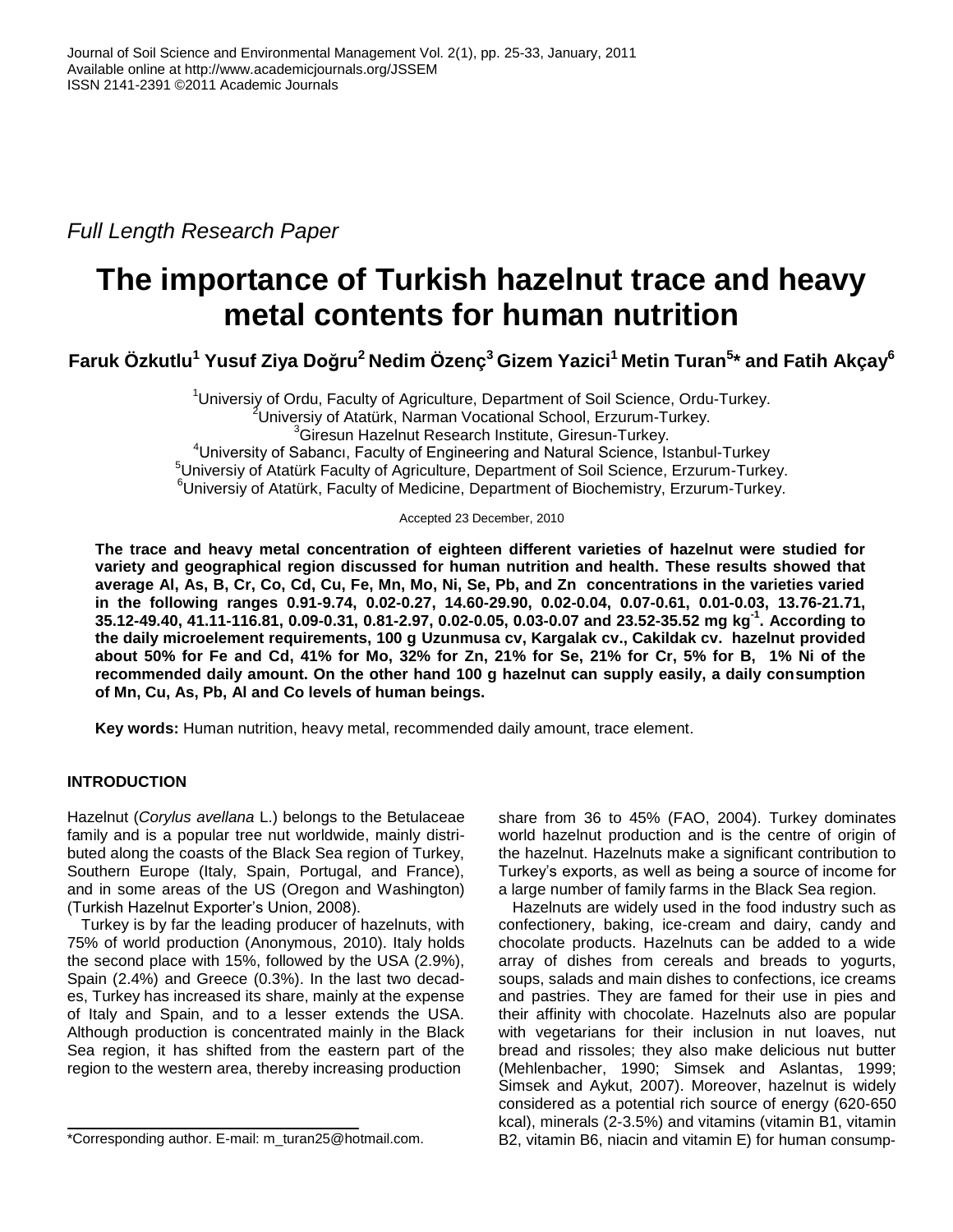*Full Length Research Paper*

# **The importance of Turkish hazelnut trace and heavy metal contents for human nutrition**

Faruk Özkutlu<sup>1</sup> Yusuf Ziya Doğru<sup>2</sup> Nedim Özenç<sup>3</sup> Gizem Yazici<sup>1</sup> Metin Turan<sup>5</sup>\* and Fatih Akçay<sup>6</sup>

<sup>1</sup>Universiy of Ordu, Faculty of Agriculture, Department of Soil Science, Ordu-Turkey. <sup>2</sup>Universiy of Atatürk, Narman Vocational School, Erzurum-Turkey. <sup>3</sup>Giresun Hazelnut Research Institute, Giresun-Turkey. <sup>4</sup>University of Sabancı, Faculty of Engineering and Natural Science, Istanbul-Turkey <sup>5</sup>Universiy of Atatürk Faculty of Agriculture, Department of Soil Science, Erzurum-Turkey. <sup>6</sup>Universiy of Atatürk, Faculty of Medicine, Department of Biochemistry, Erzurum-Turkey.

Accepted 23 December, 2010

**The trace and heavy metal concentration of eighteen different varieties of hazelnut were studied for variety and geographical region discussed for human nutrition and health. These results showed that average Al, As, B, Cr, Co, Cd, Cu, Fe, Mn, Mo, Ni, Se, Pb, and Zn concentrations in the varieties varied in the following ranges 0.91-9.74, 0.02-0.27, 14.60-29.90, 0.02-0.04, 0.07-0.61, 0.01-0.03, 13.76-21.71, 35.12-49.40, 41.11-116.81, 0.09-0.31, 0.81-2.97, 0.02-0.05, 0.03-0.07 and 23.52-35.52 mg kg-1 . According to the daily microelement requirements, 100 g Uzunmusa cv, Kargalak cv., Cakildak cv. hazelnut provided about 50% for Fe and Cd, 41% for Mo, 32% for Zn, 21% for Se, 21% for Cr, 5% for B, 1% Ni of the recommended daily amount. On the other hand 100 g hazelnut can supply easily, a daily consumption of Mn, Cu, As, Pb, Al and Co levels of human beings.**

**Key words:** Human nutrition, heavy metal, recommended daily amount, trace element.

# **INTRODUCTION**

Hazelnut (*Corylus avellana* L.) belongs to the Betulaceae family and is a popular tree nut worldwide, mainly distributed along the coasts of the Black Sea region of Turkey, Southern Europe (Italy, Spain, Portugal, and France), and in some areas of the US (Oregon and Washington) (Turkish Hazelnut Exporter's Union, 2008).

Turkey is by far the leading producer of hazelnuts, with 75% of world production (Anonymous, 2010). Italy holds the second place with 15%, followed by the USA (2.9%), Spain (2.4%) and Greece (0.3%). In the last two decades, Turkey has increased its share, mainly at the expense of Italy and Spain, and to a lesser extends the USA. Although production is concentrated mainly in the Black Sea region, it has shifted from the eastern part of the region to the western area, thereby increasing production

share from 36 to 45% (FAO, 2004). Turkey dominates world hazelnut production and is the centre of origin of the hazelnut. Hazelnuts make a significant contribution to Turkey's exports, as well as being a source of income for a large number of family farms in the Black Sea region.

Hazelnuts are widely used in the food industry such as confectionery, baking, ice-cream and dairy, candy and chocolate products. Hazelnuts can be added to a wide array of dishes from cereals and breads to yogurts, soups, salads and main dishes to confections, ice creams and pastries. They are famed for their use in pies and their affinity with chocolate. Hazelnuts also are popular with vegetarians for their inclusion in nut loaves, nut bread and rissoles; they also make delicious nut butter (Mehlenbacher, 1990; Simsek and Aslantas, 1999; Simsek and Aykut, 2007). Moreover, hazelnut is widely considered as a potential rich source of energy (620-650 kcal), minerals (2-3.5%) and vitamins (vitamin B1, vitamin B2, vitamin B6, niacin and vitamin E) for human consump-

<sup>\*</sup>Corresponding author. E-mail: m\_turan25@hotmail.com.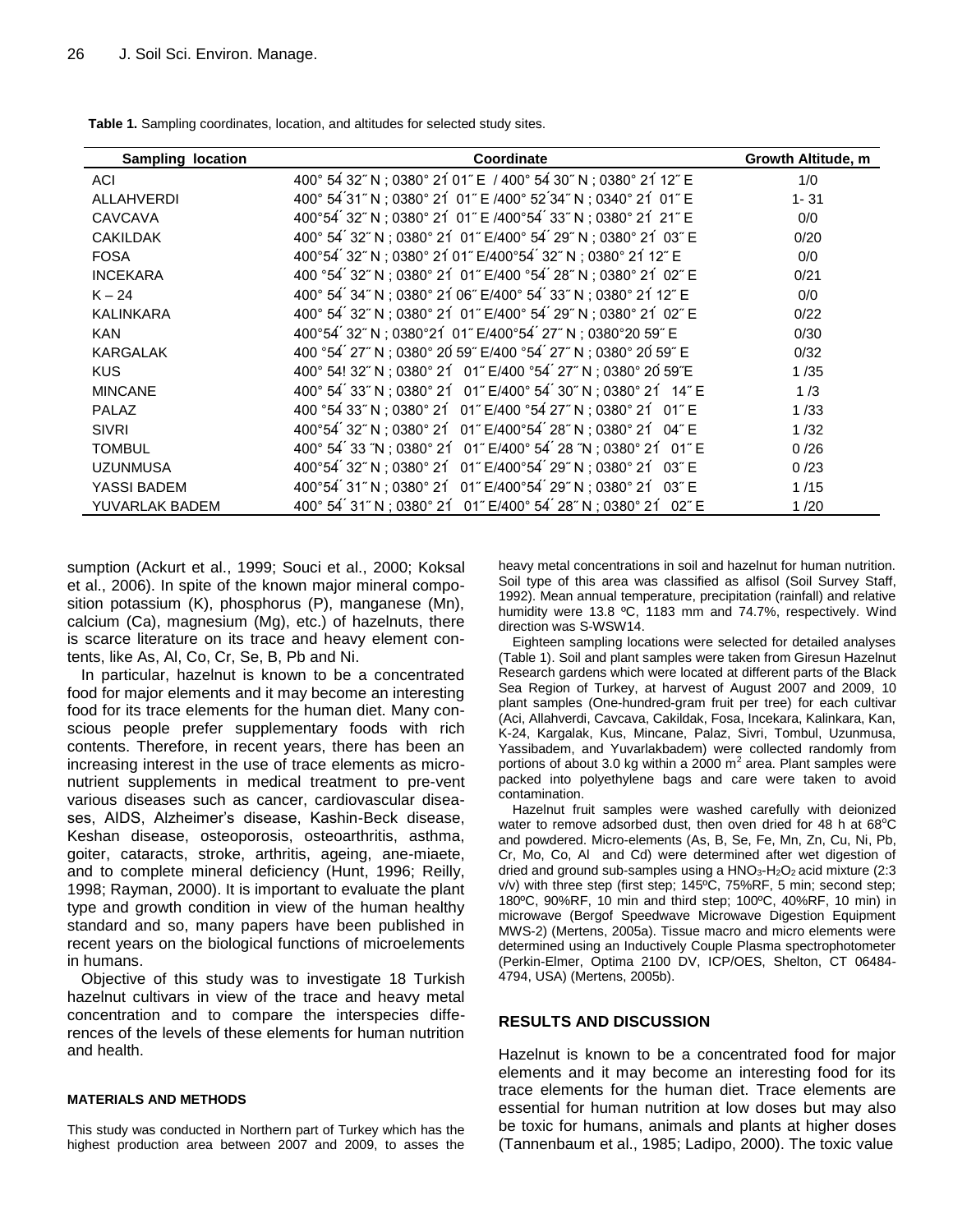**Table 1.** Sampling coordinates, location, and altitudes for selected study sites.

| <b>Sampling location</b> | Coordinate                                                        | Growth Altitude, m |
|--------------------------|-------------------------------------------------------------------|--------------------|
| ACI                      | 400° 54 32" N ; 0380° 21 01" E / 400° 54 30" N ; 0380° 21 12" E   | 1/0                |
| ALLAHVERDI               | 400° 54 31" N ; 0380° 21 01" E /400° 52 34" N ; 0340° 21 01" E    | $1 - 31$           |
| <b>CAVCAVA</b>           | 400°54' 32" N ; 0380° 21 01" E /400°54' 33" N ; 0380° 21 21" E    | 0/0                |
| <b>CAKILDAK</b>          | 400° 54' 32" N ; 0380° 21' 01" E/400° 54' 29" N ; 0380° 21' 03" E | 0/20               |
| <b>FOSA</b>              | 400°54 32" N ; 0380° 21 01" E/400°54 32" N ; 0380° 21 12" E       | 0/0                |
| <b>INCEKARA</b>          | 400 °54' 32" N ; 0380° 21 01" E/400 °54' 28" N ; 0380° 21 02" E   | 0/21               |
| $K - 24$                 | 400° 54' 34" N; 0380° 21 06" E/400° 54' 33" N; 0380° 21 12" E     | 0/0                |
| <b>KALINKARA</b>         | 400° 54' 32" N ; 0380° 21' 01" E/400° 54' 29" N ; 0380° 21' 02" E | 0/22               |
| <b>KAN</b>               | 400°54 32" N ; 0380°21 01" E/400°54 27" N ; 0380°20 59" E         | 0/30               |
| <b>KARGALAK</b>          | 400 °54' 27" N ; 0380° 20 59" E/400 °54' 27" N ; 0380° 20 59" E   | 0/32               |
| <b>KUS</b>               | 400° 54! 32" N ; 0380° 21 01" E/400 °54' 27" N ; 0380° 20 59"E    | 1/35               |
| <b>MINCANE</b>           | 400° 54' 33" N; 0380° 21' 01" E/400° 54' 30" N; 0380° 21' 14" E   | 1/3                |
| <b>PALAZ</b>             | 400 °54 33" N ; 0380° 21 01" E/400 °54 27" N ; 0380° 21 01" E     | 1/33               |
| <b>SIVRI</b>             | 400°54' 32" N ; 0380° 21' 01" E/400°54' 28" N ; 0380° 21' 04" E   | 1/32               |
| <b>TOMBUL</b>            | 400° 54' 33 "N; 0380° 21' 01" E/400° 54' 28 "N; 0380° 21' 01" E   | 0/26               |
| <b>UZUNMUSA</b>          | 400°54' 32" N ; 0380° 21' 01" E/400°54' 29" N ; 0380° 21' 03" E   | 0/23               |
| YASSI BADEM              | 400°54 31" N : 0380° 21 01" E/400°54 29" N : 0380° 21 03" E       | 1/15               |
| YUVARLAK BADEM           | 400° 54' 31" N; 0380° 21' 01" E/400° 54' 28" N; 0380° 21' 02" E   | 1/20               |

sumption (Ackurt et al., 1999; Souci et al., 2000; Koksal et al., 2006). In spite of the known major mineral composition potassium (K), phosphorus (P), manganese (Mn), calcium (Ca), magnesium (Mg), etc.) of hazelnuts, there is scarce literature on its trace and heavy element contents, like As, Al, Co, Cr, Se, B, Pb and Ni.

In particular, hazelnut is known to be a concentrated food for major elements and it may become an interesting food for its trace elements for the human diet. Many conscious people prefer supplementary foods with rich contents. Therefore, in recent years, there has been an increasing interest in the use of trace elements as micronutrient supplements in medical treatment to pre-vent various diseases such as cancer, cardiovascular diseases, AIDS, Alzheimer's disease, Kashin-Beck disease, Keshan disease, osteoporosis, osteoarthritis, asthma, goiter, cataracts, stroke, arthritis, ageing, ane-miaete, and to complete mineral deficiency (Hunt, 1996; Reilly, 1998; Rayman, 2000). It is important to evaluate the plant type and growth condition in view of the human healthy standard and so, many papers have been published in recent years on the biological functions of microelements in humans.

Objective of this study was to investigate 18 Turkish hazelnut cultivars in view of the trace and heavy metal concentration and to compare the interspecies differences of the levels of these elements for human nutrition and health.

#### **MATERIALS AND METHODS**

This study was conducted in Northern part of Turkey which has the highest production area between 2007 and 2009, to asses the heavy metal concentrations in soil and hazelnut for human nutrition. Soil type of this area was classified as alfisol (Soil Survey Staff, 1992). Mean annual temperature, precipitation (rainfall) and relative humidity were 13.8 ºC, 1183 mm and 74.7%, respectively. Wind direction was S-WSW14.

Eighteen sampling locations were selected for detailed analyses (Table 1). Soil and plant samples were taken from Giresun Hazelnut Research gardens which were located at different parts of the Black Sea Region of Turkey, at harvest of August 2007 and 2009, 10 plant samples (One-hundred-gram fruit per tree) for each cultivar (Aci, Allahverdi, Cavcava, Cakildak, Fosa, Incekara, Kalinkara, Kan, K-24, Kargalak, Kus, Mincane, Palaz, Sivri, Tombul, Uzunmusa, Yassibadem, and Yuvarlakbadem) were collected randomly from portions of about 3.0 kg within a 2000  $m^2$  area. Plant samples were packed into polyethylene bags and care were taken to avoid contamination.

Hazelnut fruit samples were washed carefully with deionized water to remove adsorbed dust, then oven dried for 48 h at  $68^{\circ}$ C and powdered. Micro-elements (As, B, Se, Fe, Mn, Zn, Cu, Ni, Pb, Cr, Mo, Co, Al and Cd) were determined after wet digestion of dried and ground sub-samples using a  $HNO<sub>3</sub>-H<sub>2</sub>O<sub>2</sub>$  acid mixture (2:3) v/v) with three step (first step; 145ºC, 75%RF, 5 min; second step; 180ºC, 90%RF, 10 min and third step; 100ºC, 40%RF, 10 min) in microwave (Bergof Speedwave Microwave Digestion Equipment MWS-2) (Mertens, 2005a). Tissue macro and micro elements were determined using an Inductively Couple Plasma spectrophotometer (Perkin-Elmer, Optima 2100 DV, ICP/OES, Shelton, CT 06484- 4794, USA) (Mertens, 2005b).

### **RESULTS AND DISCUSSION**

Hazelnut is known to be a concentrated food for major elements and it may become an interesting food for its trace elements for the human diet. Trace elements are essential for human nutrition at low doses but may also be toxic for humans, animals and plants at higher doses (Tannenbaum et al., 1985; Ladipo, 2000). The toxic value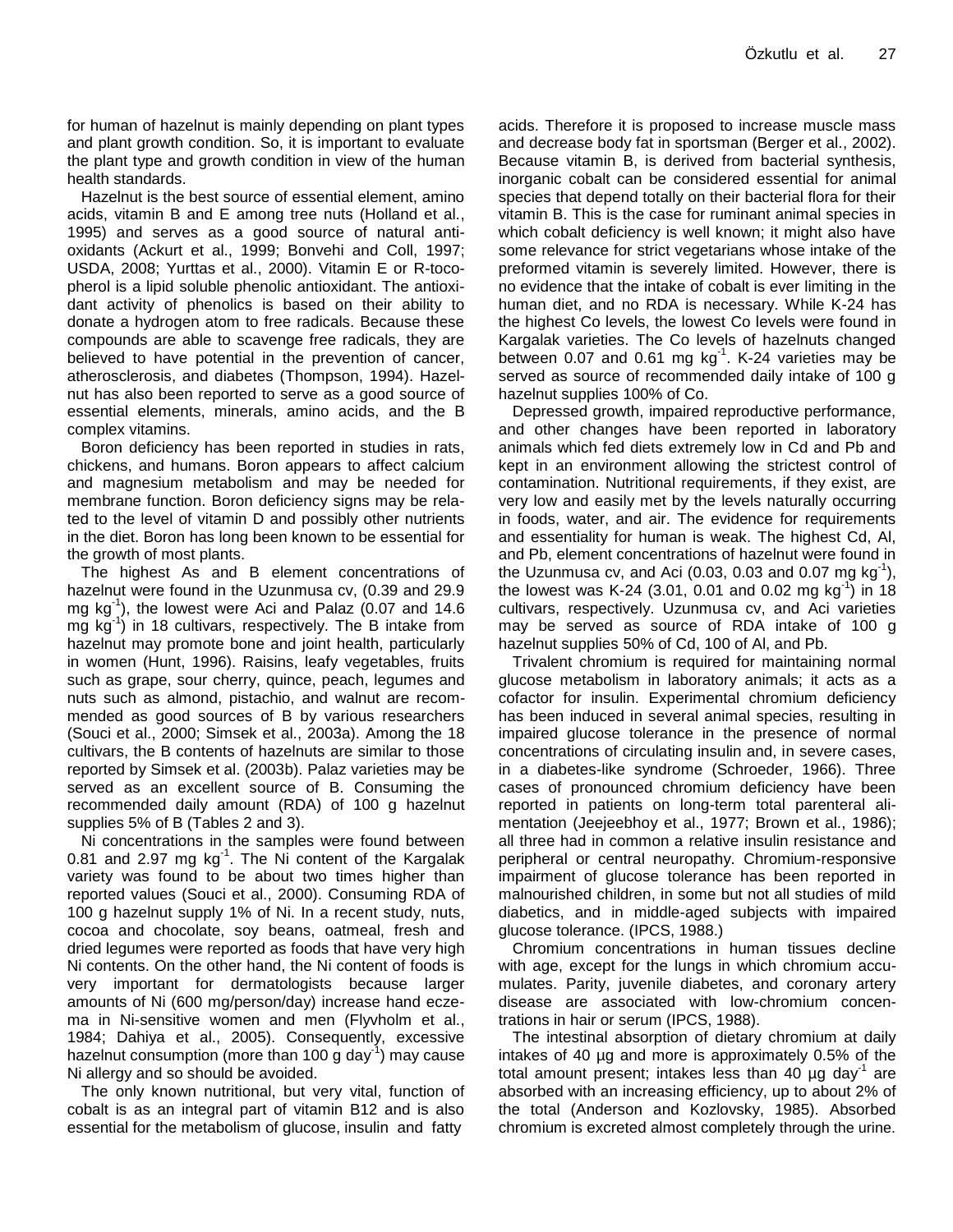for human of hazelnut is mainly depending on plant types and plant growth condition. So, it is important to evaluate the plant type and growth condition in view of the human health standards.

Hazelnut is the best source of essential element, amino acids, vitamin B and E among tree nuts (Holland et al., 1995) and serves as a good source of natural antioxidants (Ackurt et al., 1999; Bonvehi and Coll, 1997; USDA, 2008; Yurttas et al., 2000). Vitamin E or R-tocopherol is a lipid soluble phenolic antioxidant. The antioxidant activity of phenolics is based on their ability to donate a hydrogen atom to free radicals. Because these compounds are able to scavenge free radicals, they are believed to have potential in the prevention of cancer, atherosclerosis, and diabetes (Thompson, 1994). Hazelnut has also been reported to serve as a good source of essential elements, minerals, amino acids, and the B complex vitamins.

Boron deficiency has been reported in studies in rats, chickens, and humans. Boron appears to affect calcium and magnesium metabolism and may be needed for membrane function. Boron deficiency signs may be related to the level of vitamin D and possibly other nutrients in the diet. Boron has long been known to be essential for the growth of most plants.

The highest As and B element concentrations of hazelnut were found in the Uzunmusa cv, (0.39 and 29.9 mg kg-1 ), the lowest were Aci and Palaz (0.07 and 14.6 mg kg<sup>-1</sup>) in 18 cultivars, respectively. The B intake from hazelnut may promote bone and joint health, particularly in women (Hunt, 1996). Raisins, leafy vegetables, fruits such as grape, sour cherry, quince, peach, legumes and nuts such as almond, pistachio, and walnut are recommended as good sources of B by various researchers (Souci et al., 2000; Simsek et al., 2003a). Among the 18 cultivars, the B contents of hazelnuts are similar to those reported by Simsek et al. (2003b). Palaz varieties may be served as an excellent source of B. Consuming the recommended daily amount (RDA) of 100 g hazelnut supplies 5% of B (Tables 2 and 3).

Ni concentrations in the samples were found between 0.81 and 2.97 mg  $kg^{-1}$ . The Ni content of the Kargalak variety was found to be about two times higher than reported values (Souci et al., 2000). Consuming RDA of 100 g hazelnut supply 1% of Ni. In a recent study, nuts, cocoa and chocolate, soy beans, oatmeal, fresh and dried legumes were reported as foods that have very high Ni contents. On the other hand, the Ni content of foods is very important for dermatologists because larger amounts of Ni (600 mg/person/day) increase hand eczema in Ni-sensitive women and men (Flyvholm et al., 1984; Dahiya et al., 2005). Consequently, excessive hazelnut consumption (more than 100 g day<sup>-1</sup>) may cause Ni allergy and so should be avoided.

The only known nutritional, but very vital, function of cobalt is as an integral part of vitamin B12 and is also essential for the metabolism of glucose, insulin and fatty

acids. Therefore it is proposed to increase muscle mass and decrease body fat in sportsman (Berger et al., 2002). Because vitamin B, is derived from bacterial synthesis, inorganic cobalt can be considered essential for animal species that depend totally on their bacterial flora for their vitamin B. This is the case for ruminant animal species in which cobalt deficiency is well known; it might also have some relevance for strict vegetarians whose intake of the preformed vitamin is severely limited. However, there is no evidence that the intake of cobalt is ever limiting in the human diet, and no RDA is necessary. While K-24 has the highest Co levels, the lowest Co levels were found in Kargalak varieties. The Co levels of hazelnuts changed between 0.07 and 0.61 mg  $kg^{-1}$ . K-24 varieties may be served as source of recommended daily intake of 100 g hazelnut supplies 100% of Co.

Depressed growth, impaired reproductive performance, and other changes have been reported in laboratory animals which fed diets extremely low in Cd and Pb and kept in an environment allowing the strictest control of contamination. Nutritional requirements, if they exist, are very low and easily met by the levels naturally occurring in foods, water, and air. The evidence for requirements and essentiality for human is weak. The highest Cd, Al, and Pb, element concentrations of hazelnut were found in the Uzunmusa cv, and Aci (0.03, 0.03 and 0.07 mg  $kg^{-1}$ ), the lowest was K-24 (3.01, 0.01 and 0.02 mg kg<sup>-1</sup>) in 18 cultivars, respectively. Uzunmusa cv, and Aci varieties may be served as source of RDA intake of 100 g hazelnut supplies 50% of Cd, 100 of Al, and Pb.

Trivalent chromium is required for maintaining normal glucose metabolism in laboratory animals; it acts as a cofactor for insulin. Experimental chromium deficiency has been induced in several animal species, resulting in impaired glucose tolerance in the presence of normal concentrations of circulating insulin and, in severe cases, in a diabetes-like syndrome (Schroeder, 1966). Three cases of pronounced chromium deficiency have been reported in patients on long-term total parenteral alimentation (Jeejeebhoy et al., 1977; Brown et al., 1986); all three had in common a relative insulin resistance and peripheral or central neuropathy. Chromium-responsive impairment of glucose tolerance has been reported in malnourished children, in some but not all studies of mild diabetics, and in middle-aged subjects with impaired glucose tolerance. (IPCS, 1988.)

Chromium concentrations in human tissues decline with age, except for the lungs in which chromium accumulates. Parity, juvenile diabetes, and coronary artery disease are associated with low-chromium concentrations in hair or serum (IPCS, 1988).

The intestinal absorption of dietary chromium at daily intakes of 40 µg and more is approximately 0.5% of the total amount present; intakes less than 40  $\mu$ g day<sup>-1</sup> are absorbed with an increasing efficiency, up to about 2% of the total (Anderson and Kozlovsky, 1985). Absorbed chromium is excreted almost completely through the urine.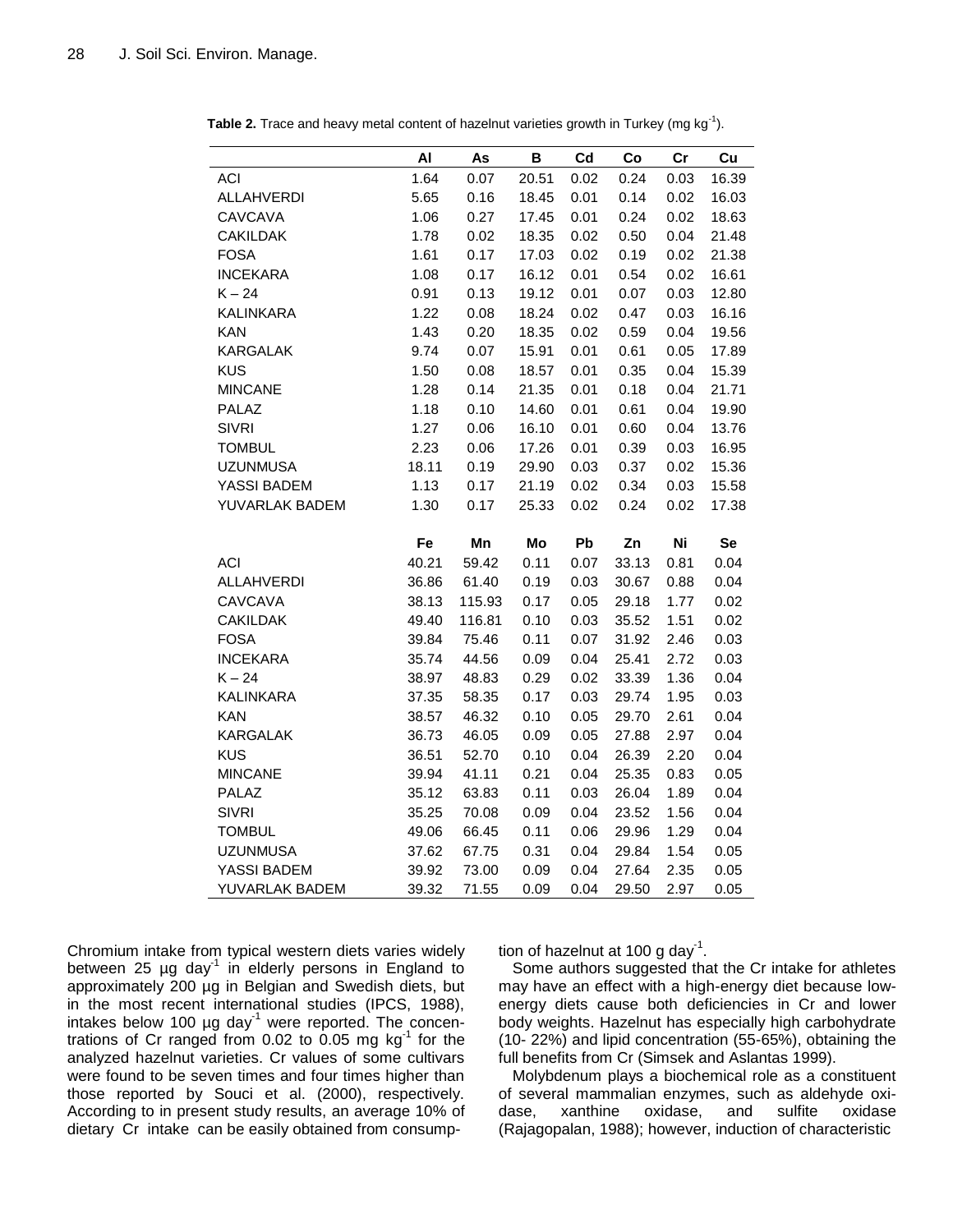|                   | Al    | As     | B     | Cd   | Co    | cr   | cu    |
|-------------------|-------|--------|-------|------|-------|------|-------|
| ACI               | 1.64  | 0.07   | 20.51 | 0.02 | 0.24  | 0.03 | 16.39 |
| ALLAHVERDI        | 5.65  | 0.16   | 18.45 | 0.01 | 0.14  | 0.02 | 16.03 |
| <b>CAVCAVA</b>    | 1.06  | 0.27   | 17.45 | 0.01 | 0.24  | 0.02 | 18.63 |
| <b>CAKILDAK</b>   | 1.78  | 0.02   | 18.35 | 0.02 | 0.50  | 0.04 | 21.48 |
| <b>FOSA</b>       | 1.61  | 0.17   | 17.03 | 0.02 | 0.19  | 0.02 | 21.38 |
| <b>INCEKARA</b>   | 1.08  | 0.17   | 16.12 | 0.01 | 0.54  | 0.02 | 16.61 |
| $K - 24$          | 0.91  | 0.13   | 19.12 | 0.01 | 0.07  | 0.03 | 12.80 |
| <b>KALINKARA</b>  | 1.22  | 0.08   | 18.24 | 0.02 | 0.47  | 0.03 | 16.16 |
| <b>KAN</b>        | 1.43  | 0.20   | 18.35 | 0.02 | 0.59  | 0.04 | 19.56 |
| <b>KARGALAK</b>   | 9.74  | 0.07   | 15.91 | 0.01 | 0.61  | 0.05 | 17.89 |
| <b>KUS</b>        | 1.50  | 0.08   | 18.57 | 0.01 | 0.35  | 0.04 | 15.39 |
| <b>MINCANE</b>    | 1.28  | 0.14   | 21.35 | 0.01 | 0.18  | 0.04 | 21.71 |
| PALAZ             | 1.18  | 0.10   | 14.60 | 0.01 | 0.61  | 0.04 | 19.90 |
| <b>SIVRI</b>      | 1.27  | 0.06   | 16.10 | 0.01 | 0.60  | 0.04 | 13.76 |
| <b>TOMBUL</b>     | 2.23  | 0.06   | 17.26 | 0.01 | 0.39  | 0.03 | 16.95 |
| <b>UZUNMUSA</b>   | 18.11 | 0.19   | 29.90 | 0.03 | 0.37  | 0.02 | 15.36 |
| YASSI BADEM       | 1.13  | 0.17   | 21.19 | 0.02 | 0.34  | 0.03 | 15.58 |
| YUVARLAK BADEM    | 1.30  | 0.17   | 25.33 | 0.02 | 0.24  | 0.02 | 17.38 |
|                   |       |        |       |      |       |      |       |
|                   | Fe    | Mn     | Mo    | Pb   | Zn    | Ni   | Se    |
| <b>ACI</b>        | 40.21 | 59.42  | 0.11  | 0.07 | 33.13 | 0.81 | 0.04  |
| <b>ALLAHVERDI</b> | 36.86 | 61.40  | 0.19  | 0.03 | 30.67 | 0.88 | 0.04  |
| <b>CAVCAVA</b>    | 38.13 | 115.93 | 0.17  | 0.05 | 29.18 | 1.77 | 0.02  |
| <b>CAKILDAK</b>   | 49.40 | 116.81 | 0.10  | 0.03 | 35.52 | 1.51 | 0.02  |
| <b>FOSA</b>       | 39.84 | 75.46  | 0.11  | 0.07 | 31.92 | 2.46 | 0.03  |
| <b>INCEKARA</b>   | 35.74 | 44.56  | 0.09  | 0.04 | 25.41 | 2.72 | 0.03  |
| $K - 24$          | 38.97 | 48.83  | 0.29  | 0.02 | 33.39 | 1.36 | 0.04  |
| <b>KALINKARA</b>  | 37.35 | 58.35  | 0.17  | 0.03 | 29.74 | 1.95 | 0.03  |
| <b>KAN</b>        | 38.57 | 46.32  | 0.10  | 0.05 | 29.70 | 2.61 | 0.04  |
| <b>KARGALAK</b>   | 36.73 | 46.05  | 0.09  | 0.05 | 27.88 | 2.97 | 0.04  |
| <b>KUS</b>        | 36.51 | 52.70  | 0.10  | 0.04 | 26.39 | 2.20 | 0.04  |
| <b>MINCANE</b>    | 39.94 | 41.11  | 0.21  | 0.04 | 25.35 | 0.83 | 0.05  |
| PALAZ             | 35.12 | 63.83  | 0.11  | 0.03 | 26.04 | 1.89 | 0.04  |
| <b>SIVRI</b>      | 35.25 | 70.08  | 0.09  | 0.04 | 23.52 | 1.56 | 0.04  |
| <b>TOMBUL</b>     | 49.06 | 66.45  | 0.11  | 0.06 | 29.96 | 1.29 | 0.04  |
| <b>UZUNMUSA</b>   | 37.62 | 67.75  | 0.31  | 0.04 | 29.84 | 1.54 | 0.05  |
| YASSI BADEM       | 39.92 | 73.00  | 0.09  | 0.04 | 27.64 | 2.35 | 0.05  |
| YUVARLAK BADEM    | 39.32 | 71.55  | 0.09  | 0.04 | 29.50 | 2.97 | 0.05  |

Table 2. Trace and heavy metal content of hazelnut varieties growth in Turkey (mg kg<sup>-1</sup>).

Chromium intake from typical western diets varies widely between 25 µg day<sup>-1</sup> in elderly persons in England to approximately 200 µg in Belgian and Swedish diets, but in the most recent international studies (IPCS, 1988), intakes below 100  $\mu$ g day<sup>-1</sup> were reported. The concentrations of Cr ranged from 0.02 to 0.05 mg  $kg<sup>-1</sup>$  for the analyzed hazelnut varieties. Cr values of some cultivars were found to be seven times and four times higher than those reported by Souci et al. (2000), respectively. According to in present study results, an average 10% of dietary Cr intake can be easily obtained from consumption of hazelnut at 100 g day  $^1$ .

Some authors suggested that the Cr intake for athletes may have an effect with a high-energy diet because lowenergy diets cause both deficiencies in Cr and lower body weights. Hazelnut has especially high carbohydrate (10- 22%) and lipid concentration (55-65%), obtaining the full benefits from Cr (Simsek and Aslantas 1999).

Molybdenum plays a biochemical role as a constituent of several mammalian enzymes, such as aldehyde oxidase, xanthine oxidase, and sulfite oxidase (Rajagopalan, 1988); however, induction of characteristic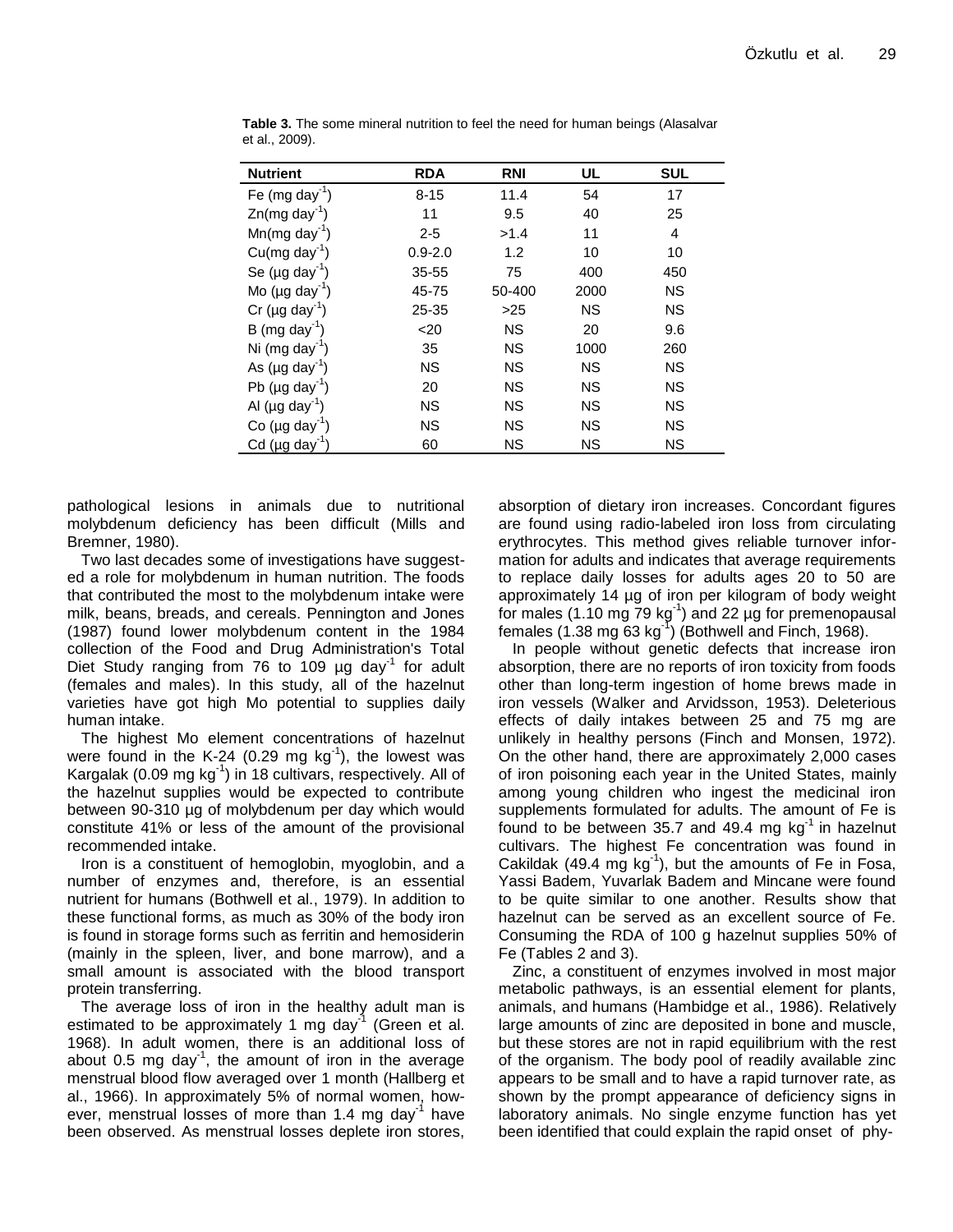| <b>Nutrient</b>                  | <b>RDA</b>  | <b>RNI</b> | <b>UL</b> | <b>SUL</b> |
|----------------------------------|-------------|------------|-----------|------------|
| Fe (mg day <sup>-1</sup> )       | $8 - 15$    | 11.4       | 54        | 17         |
| $Zn(mg day^{-1})$                | 11          | 9.5        | 40        | 25         |
| $Mn(mg day-1)$                   | $2 - 5$     | >1.4       | 11        | 4          |
| $Cu(mg day-1)$                   | $0.9 - 2.0$ | 1.2        | 10        | 10         |
| Se $(\mu g \text{ day}^{-1})$    | 35-55       | 75         | 400       | 450        |
| Mo ( $\mu$ g day <sup>-1</sup> ) | 45-75       | 50-400     | 2000      | <b>NS</b>  |
| Cr ( $\mu$ g day <sup>-1</sup> ) | 25-35       | $>25$      | <b>NS</b> | <b>NS</b>  |
| B (mg day <sup>-1</sup> )        | 20          | <b>NS</b>  | 20        | 9.6        |
| Ni (mg day <sup>-1</sup> )       | 35          | <b>NS</b>  | 1000      | 260        |
| As $(\mu g \text{ day}^{-1})$    | <b>NS</b>   | <b>NS</b>  | <b>NS</b> | <b>NS</b>  |
| Pb ( $\mu$ g day <sup>-1</sup> ) | 20          | ΝS         | <b>NS</b> | <b>NS</b>  |
| Al ( $\mu$ g day <sup>-1</sup> ) | <b>NS</b>   | <b>NS</b>  | <b>NS</b> | <b>NS</b>  |
| Co ( $\mu$ g day <sup>-1</sup> ) | <b>NS</b>   | <b>NS</b>  | <b>NS</b> | <b>NS</b>  |
| Cd (µg day <sup>-1</sup>         | 60          | <b>NS</b>  | <b>NS</b> | <b>NS</b>  |

**Table 3.** The some mineral nutrition to feel the need for human beings (Alasalvar et al., 2009).

pathological lesions in animals due to nutritional molybdenum deficiency has been difficult (Mills and Bremner, 1980).

Two last decades some of investigations have suggested a role for molybdenum in human nutrition. The foods that contributed the most to the molybdenum intake were milk, beans, breads, and cereals. Pennington and Jones (1987) found lower molybdenum content in the 1984 collection of the Food and Drug Administration's Total Diet Study ranging from 76 to 109  $\mu$ g day<sup>-1</sup> for adult (females and males). In this study, all of the hazelnut varieties have got high Mo potential to supplies daily human intake.

The highest Mo element concentrations of hazelnut were found in the K-24 (0.29 mg  $kg^{-1}$ ), the lowest was Kargalak (0.09 mg  $kg^{-1}$ ) in 18 cultivars, respectively. All of the hazelnut supplies would be expected to contribute between 90-310 µg of molybdenum per day which would constitute 41% or less of the amount of the provisional recommended intake.

Iron is a constituent of hemoglobin, myoglobin, and a number of enzymes and, therefore, is an essential nutrient for humans (Bothwell et al., 1979). In addition to these functional forms, as much as 30% of the body iron is found in storage forms such as ferritin and hemosiderin (mainly in the spleen, liver, and bone marrow), and a small amount is associated with the blood transport protein transferring.

The average loss of iron in the healthy adult man is estimated to be approximately 1 mg day<sup>-1</sup> (Green et al. 1968). In adult women, there is an additional loss of about 0.5 mg day<sup>-1</sup>, the amount of iron in the average menstrual blood flow averaged over 1 month (Hallberg et al., 1966). In approximately 5% of normal women, however, menstrual losses of more than 1.4 mg day<sup>-1</sup> have been observed. As menstrual losses deplete iron stores,

absorption of dietary iron increases. Concordant figures are found using radio-labeled iron loss from circulating erythrocytes. This method gives reliable turnover information for adults and indicates that average requirements to replace daily losses for adults ages 20 to 50 are approximately 14 µg of iron per kilogram of body weight for males (1.10 mg  $79$  kg<sup>-1</sup>) and 22  $\mu$ g for premenopausal females (1.38 mg 63 kg $^7$ ) (Bothwell and Finch, 1968).

In people without genetic defects that increase iron absorption, there are no reports of iron toxicity from foods other than long-term ingestion of home brews made in iron vessels (Walker and Arvidsson, 1953). Deleterious effects of daily intakes between 25 and 75 mg are unlikely in healthy persons (Finch and Monsen, 1972). On the other hand, there are approximately 2,000 cases of iron poisoning each year in the United States, mainly among young children who ingest the medicinal iron supplements formulated for adults. The amount of Fe is found to be between 35.7 and 49.4 mg  $kg<sup>-1</sup>$  in hazelnut cultivars. The highest Fe concentration was found in Cakildak (49.4 mg  $kg^{-1}$ ), but the amounts of Fe in Fosa, Yassi Badem, Yuvarlak Badem and Mincane were found to be quite similar to one another. Results show that hazelnut can be served as an excellent source of Fe. Consuming the RDA of 100 g hazelnut supplies 50% of Fe (Tables 2 and 3).

Zinc, a constituent of enzymes involved in most major metabolic pathways, is an essential element for plants, animals, and humans (Hambidge et al., 1986). Relatively large amounts of zinc are deposited in bone and muscle, but these stores are not in rapid equilibrium with the rest of the organism. The body pool of readily available zinc appears to be small and to have a rapid turnover rate, as shown by the prompt appearance of deficiency signs in laboratory animals. No single enzyme function has yet been identified that could explain the rapid onset of phy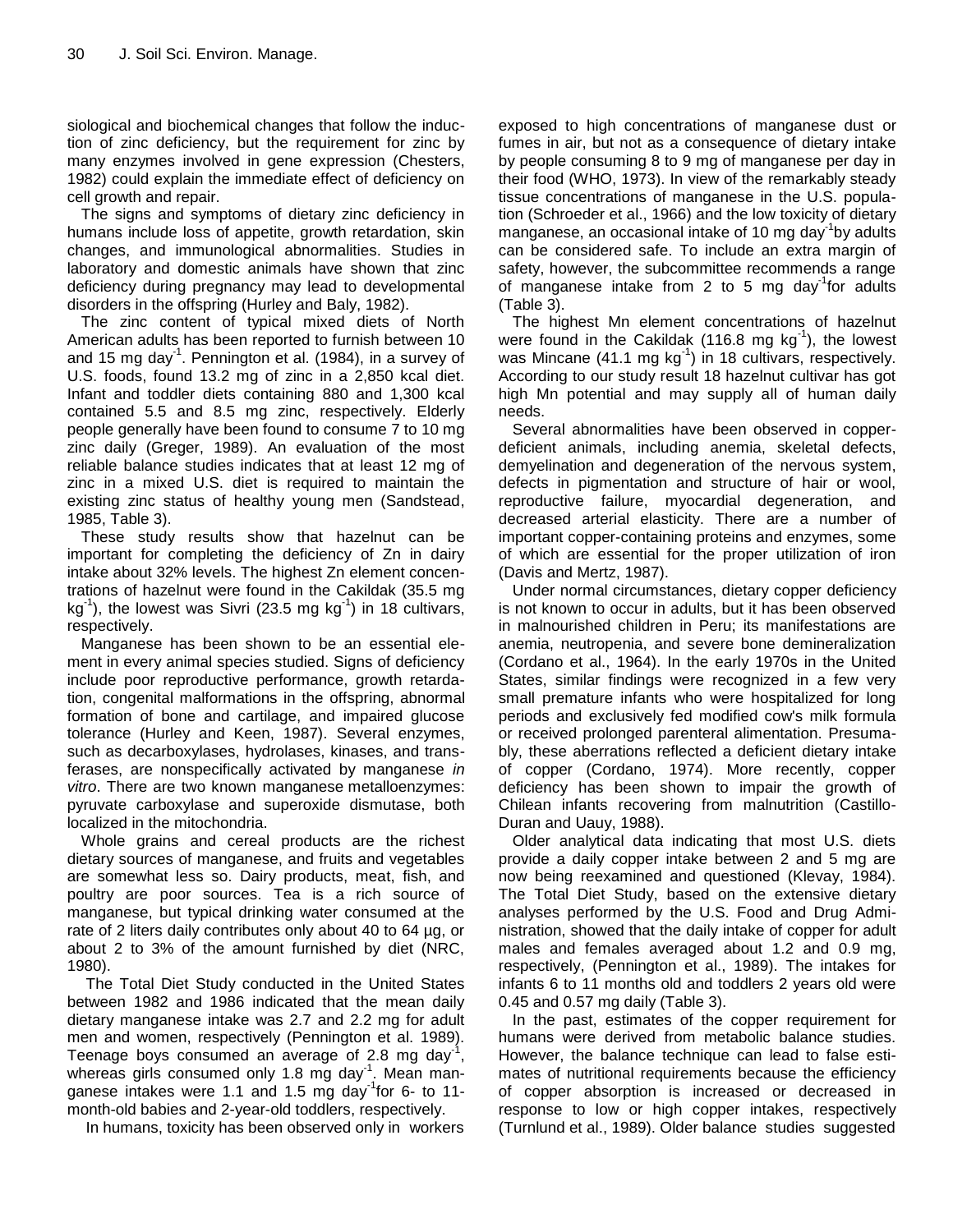siological and biochemical changes that follow the induction of zinc deficiency, but the requirement for zinc by many enzymes involved in gene expression (Chesters, 1982) could explain the immediate effect of deficiency on cell growth and repair.

The signs and symptoms of dietary zinc deficiency in humans include loss of appetite, growth retardation, skin changes, and immunological abnormalities. Studies in laboratory and domestic animals have shown that zinc deficiency during pregnancy may lead to developmental disorders in the offspring (Hurley and Baly, 1982).

The zinc content of typical mixed diets of North American adults has been reported to furnish between 10 and 15 mg day<sup>-1</sup>. Pennington et al. (1984), in a survey of U.S. foods, found 13.2 mg of zinc in a 2,850 kcal diet. Infant and toddler diets containing 880 and 1,300 kcal contained 5.5 and 8.5 mg zinc, respectively. Elderly people generally have been found to consume 7 to 10 mg zinc daily (Greger, 1989). An evaluation of the most reliable balance studies indicates that at least 12 mg of zinc in a mixed U.S. diet is required to maintain the existing zinc status of healthy young men (Sandstead, 1985, Table 3).

These study results show that hazelnut can be important for completing the deficiency of Zn in dairy intake about 32% levels. The highest Zn element concentrations of hazelnut were found in the Cakildak (35.5 mg kg<sup>-1</sup>), the lowest was Sivri (23.5 mg kg<sup>-1</sup>) in 18 cultivars, respectively.

Manganese has been shown to be an essential element in every animal species studied. Signs of deficiency include poor reproductive performance, growth retardation, congenital malformations in the offspring, abnormal formation of bone and cartilage, and impaired glucose tolerance (Hurley and Keen, 1987). Several enzymes, such as decarboxylases, hydrolases, kinases, and transferases, are nonspecifically activated by manganese *in vitro*. There are two known manganese metalloenzymes: pyruvate carboxylase and superoxide dismutase, both localized in the mitochondria.

Whole grains and cereal products are the richest dietary sources of manganese, and fruits and vegetables are somewhat less so. Dairy products, meat, fish, and poultry are poor sources. Tea is a rich source of manganese, but typical drinking water consumed at the rate of 2 liters daily contributes only about 40 to 64 µg, or about 2 to 3% of the amount furnished by diet (NRC, 1980).

The Total Diet Study conducted in the United States between 1982 and 1986 indicated that the mean daily dietary manganese intake was 2.7 and 2.2 mg for adult men and women, respectively (Pennington et al. 1989). Teenage boys consumed an average of 2.8 mg day<sup>1</sup>, whereas girls consumed only 1.8 mg day<sup>-1</sup>. Mean manganese intakes were 1.1 and 1.5 mg day<sup>-1</sup>for 6- to 11month-old babies and 2-year-old toddlers, respectively.

In humans, toxicity has been observed only in workers

exposed to high concentrations of manganese dust or fumes in air, but not as a consequence of dietary intake by people consuming 8 to 9 mg of manganese per day in their food (WHO, 1973). In view of the remarkably steady tissue concentrations of manganese in the U.S. population (Schroeder et al., 1966) and the low toxicity of dietary manganese, an occasional intake of 10 mg day<sup>-1</sup>by adults can be considered safe. To include an extra margin of safety, however, the subcommittee recommends a range of manganese intake from 2 to 5 mg day<sup>1</sup>for adults (Table 3).

The highest Mn element concentrations of hazelnut were found in the Cakildak (116.8 mg  $kg^{-1}$ ), the lowest was Mincane (41.1 mg  $kg^{-1}$ ) in 18 cultivars, respectively. According to our study result 18 hazelnut cultivar has got high Mn potential and may supply all of human daily needs.

Several abnormalities have been observed in copperdeficient animals, including anemia, skeletal defects, demyelination and degeneration of the nervous system, defects in pigmentation and structure of hair or wool, reproductive failure, myocardial degeneration, and decreased arterial elasticity. There are a number of important copper-containing proteins and enzymes, some of which are essential for the proper utilization of iron (Davis and Mertz, 1987).

Under normal circumstances, dietary copper deficiency is not known to occur in adults, but it has been observed in malnourished children in Peru; its manifestations are anemia, neutropenia, and severe bone demineralization (Cordano et al., 1964). In the early 1970s in the United States, similar findings were recognized in a few very small premature infants who were hospitalized for long periods and exclusively fed modified cow's milk formula or received prolonged parenteral alimentation. Presumably, these aberrations reflected a deficient dietary intake of copper (Cordano, 1974). More recently, copper deficiency has been shown to impair the growth of Chilean infants recovering from malnutrition (Castillo-Duran and Uauy, 1988).

Older analytical data indicating that most U.S. diets provide a daily copper intake between 2 and 5 mg are now being reexamined and questioned (Klevay, 1984). The Total Diet Study, based on the extensive dietary analyses performed by the U.S. Food and Drug Administration, showed that the daily intake of copper for adult males and females averaged about 1.2 and 0.9 mg, respectively, (Pennington et al., 1989). The intakes for infants 6 to 11 months old and toddlers 2 years old were 0.45 and 0.57 mg daily (Table 3).

In the past, estimates of the copper requirement for humans were derived from metabolic balance studies. However, the balance technique can lead to false estimates of nutritional requirements because the efficiency of copper absorption is increased or decreased in response to low or high copper intakes, respectively (Turnlund et al., 1989). Older balance studies suggested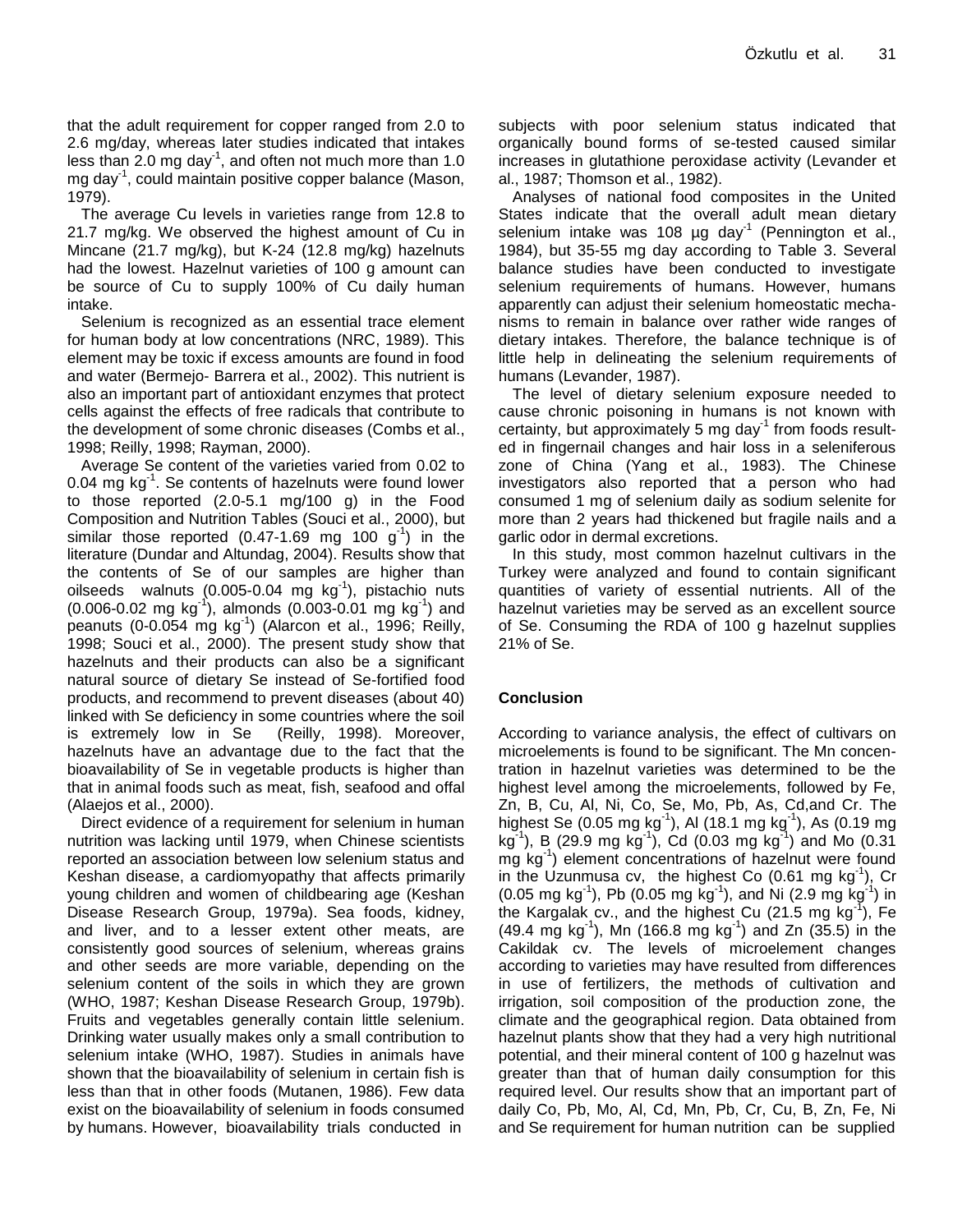that the adult requirement for copper ranged from 2.0 to 2.6 mg/day, whereas later studies indicated that intakes less than 2.0 mg day<sup>-1</sup>, and often not much more than 1.0 mg day-1 , could maintain positive copper balance (Mason, 1979).

The average Cu levels in varieties range from 12.8 to 21.7 mg/kg. We observed the highest amount of Cu in Mincane (21.7 mg/kg), but K-24 (12.8 mg/kg) hazelnuts had the lowest. Hazelnut varieties of 100 g amount can be source of Cu to supply 100% of Cu daily human intake.

Selenium is recognized as an essential trace element for human body at low concentrations (NRC, 1989). This element may be toxic if excess amounts are found in food and water (Bermejo- Barrera et al., 2002). This nutrient is also an important part of antioxidant enzymes that protect cells against the effects of free radicals that contribute to the development of some chronic diseases (Combs et al., 1998; Reilly, 1998; Rayman, 2000).

Average Se content of the varieties varied from 0.02 to 0.04 mg  $kg^{-1}$ . Se contents of hazelnuts were found lower to those reported (2.0-5.1 mg/100 g) in the Food Composition and Nutrition Tables (Souci et al., 2000), but similar those reported (0.47-1.69 mg 100  $g^{-1}$ ) in the literature (Dundar and Altundag, 2004). Results show that the contents of Se of our samples are higher than oilseeds walnuts (0.005-0.04 mg  $kg^{-1}$ ), pistachio nuts  $(0.006 - 0.02 \text{ mg kg}^{-1})$ , almonds  $(0.003 - 0.01 \text{ mg kg}^{-1})$  and peanuts (0-0.054 mg kg-1 ) (Alarcon et al., 1996; Reilly, 1998; Souci et al., 2000). The present study show that hazelnuts and their products can also be a significant natural source of dietary Se instead of Se-fortified food products, and recommend to prevent diseases (about 40) linked with Se deficiency in some countries where the soil is extremely low in Se (Reilly, 1998). Moreover, hazelnuts have an advantage due to the fact that the bioavailability of Se in vegetable products is higher than that in animal foods such as meat, fish, seafood and offal (Alaejos et al., 2000).

Direct evidence of a requirement for selenium in human nutrition was lacking until 1979, when Chinese scientists reported an association between low selenium status and Keshan disease, a cardiomyopathy that affects primarily young children and women of childbearing age (Keshan Disease Research Group, 1979a). Sea foods, kidney, and liver, and to a lesser extent other meats, are consistently good sources of selenium, whereas grains and other seeds are more variable, depending on the selenium content of the soils in which they are grown (WHO, 1987; Keshan Disease Research Group, 1979b). Fruits and vegetables generally contain little selenium. Drinking water usually makes only a small contribution to selenium intake (WHO, 1987). Studies in animals have shown that the bioavailability of selenium in certain fish is less than that in other foods (Mutanen, 1986). Few data exist on the bioavailability of selenium in foods consumed by humans. However, bioavailability trials conducted in

subjects with poor selenium status indicated that organically bound forms of se-tested caused similar increases in glutathione peroxidase activity (Levander et al., 1987; Thomson et al., 1982).

Analyses of national food composites in the United States indicate that the overall adult mean dietary selenium intake was 108 µg day<sup>-1</sup> (Pennington et al., 1984), but 35-55 mg day according to Table 3. Several balance studies have been conducted to investigate selenium requirements of humans. However, humans apparently can adjust their selenium homeostatic mechanisms to remain in balance over rather wide ranges of dietary intakes. Therefore, the balance technique is of little help in delineating the selenium requirements of humans (Levander, 1987).

The level of dietary selenium exposure needed to cause chronic poisoning in humans is not known with certainty, but approximately 5 mg day<sup>-1</sup> from foods resulted in fingernail changes and hair loss in a seleniferous zone of China (Yang et al., 1983). The Chinese investigators also reported that a person who had consumed 1 mg of selenium daily as sodium selenite for more than 2 years had thickened but fragile nails and a garlic odor in dermal excretions.

In this study, most common hazelnut cultivars in the Turkey were analyzed and found to contain significant quantities of variety of essential nutrients. All of the hazelnut varieties may be served as an excellent source of Se. Consuming the RDA of 100 g hazelnut supplies 21% of Se.

## **Conclusion**

According to variance analysis, the effect of cultivars on microelements is found to be significant. The Mn concentration in hazelnut varieties was determined to be the highest level among the microelements, followed by Fe, Zn, B, Cu, Al, Ni, Co, Se, Mo, Pb, As, Cd,and Cr. The highest Se (0.05 mg kg<sup>-1</sup>), Al (18.1 mg kg<sup>-1</sup>), As (0.19 mg kg<sup>-1</sup>), B (29.9 mg kg<sup>-1</sup>), Cd (0.03 mg kg<sup>-1</sup>) and Mo (0.31 mg kg-1 ) element concentrations of hazelnut were found in the Uzunmusa cv, the highest Co (0.61 mg  $kg^{-1}$ ), Cr  $(0.05 \text{ mg kg}^{-1})$ , Pb  $(0.05 \text{ mg kg}^{-1})$ , and Ni  $(2.9 \text{ mg kg}^{-1})$  in the Kargalak cv., and the highest Cu (21.5 mg kg<sup>-1</sup>), Fe  $(49.4 \text{ mg kg}^{-1})$ , Mn  $(166.8 \text{ mg kg}^{-1})$  and Zn  $(35.5)$  in the Cakildak cv. The levels of microelement changes according to varieties may have resulted from differences in use of fertilizers, the methods of cultivation and irrigation, soil composition of the production zone, the climate and the geographical region. Data obtained from hazelnut plants show that they had a very high nutritional potential, and their mineral content of 100 g hazelnut was greater than that of human daily consumption for this required level. Our results show that an important part of daily Co, Pb, Mo, Al, Cd, Mn, Pb, Cr, Cu, B, Zn, Fe, Ni and Se requirement for human nutrition can be supplied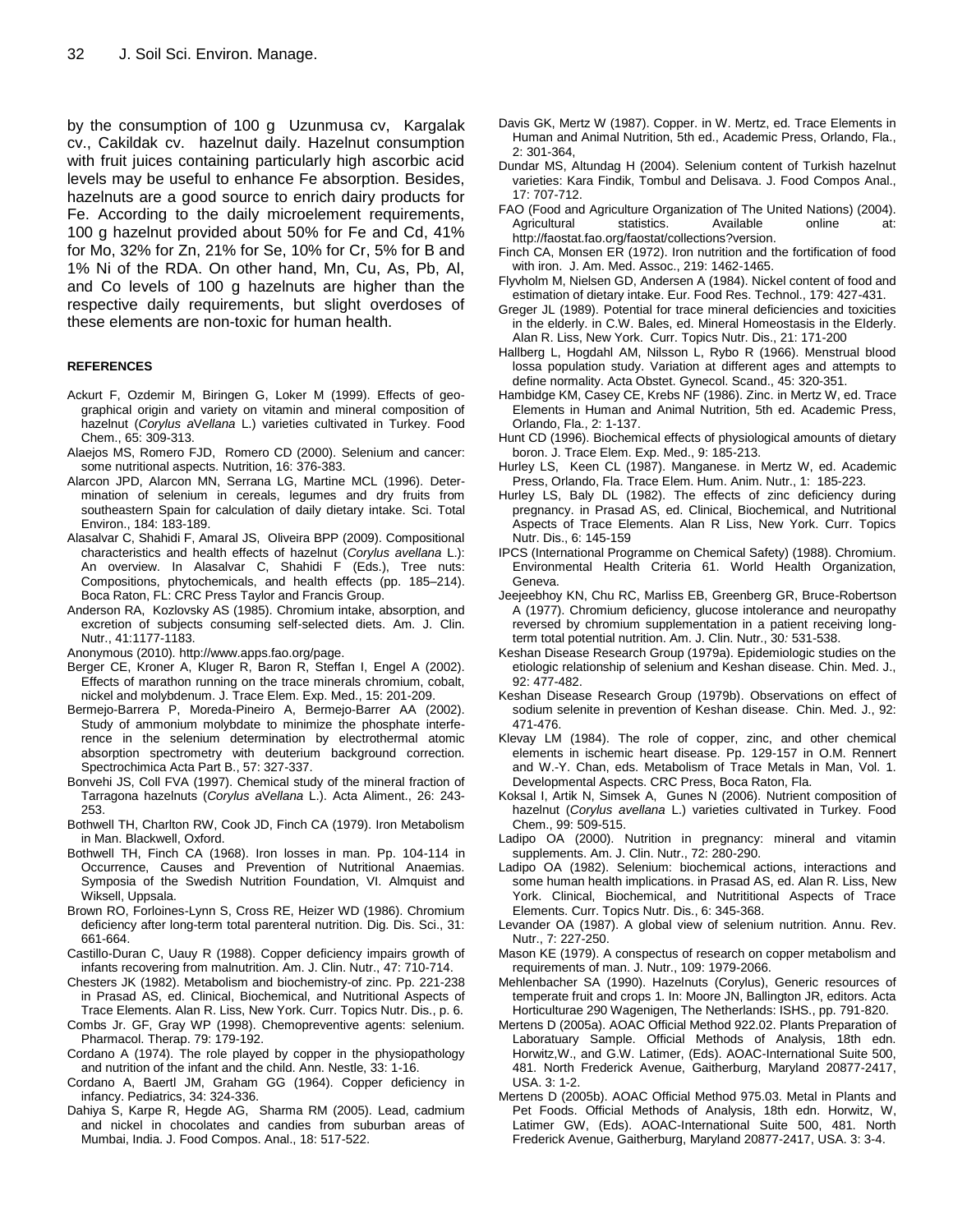by the consumption of 100 g Uzunmusa cv, Kargalak cv., Cakildak cv. hazelnut daily. Hazelnut consumption with fruit juices containing particularly high ascorbic acid levels may be useful to enhance Fe absorption. Besides, hazelnuts are a good source to enrich dairy products for Fe. According to the daily microelement requirements, 100 g hazelnut provided about 50% for Fe and Cd, 41% for Mo, 32% for Zn, 21% for Se, 10% for Cr, 5% for B and 1% Ni of the RDA. On other hand, Mn, Cu, As, Pb, Al, and Co levels of 100 g hazelnuts are higher than the respective daily requirements, but slight overdoses of these elements are non-toxic for human health.

#### **REFERENCES**

- Ackurt F, Ozdemir M, Biringen G, Loker M (1999). Effects of geographical origin and variety on vitamin and mineral composition of hazelnut (*Corylus a*V*ellana* L.) varieties cultivated in Turkey. Food Chem., 65: 309-313.
- Alaejos MS, Romero FJD, Romero CD (2000). Selenium and cancer: some nutritional aspects. Nutrition, 16: 376-383.
- Alarcon JPD, Alarcon MN, Serrana LG, Martine MCL (1996). Determination of selenium in cereals, legumes and dry fruits from southeastern Spain for calculation of daily dietary intake. Sci. Total Environ., 184: 183-189.
- Alasalvar C, Shahidi F, Amaral JS, Oliveira BPP (2009). Compositional characteristics and health effects of hazelnut (*Corylus avellana* L.): An overview. In Alasalvar C, Shahidi F (Eds.), Tree nuts: Compositions, phytochemicals, and health effects (pp. 185–214). Boca Raton, FL: CRC Press Taylor and Francis Group.
- Anderson RA, Kozlovsky AS (1985). Chromium intake, absorption, and excretion of subjects consuming self-selected diets. Am. J. Clin. Nutr., 41:1177-1183.

Anonymous (2010)*.* http://www.apps.fao.org/page.

- Berger CE, Kroner A, Kluger R, Baron R, Steffan I, Engel A (2002). Effects of marathon running on the trace minerals chromium, cobalt, nickel and molybdenum. J. Trace Elem. Exp. Med., 15: 201-209.
- Bermejo-Barrera P, Moreda-Pineiro A, Bermejo-Barrer AA (2002). Study of ammonium molybdate to minimize the phosphate interference in the selenium determination by electrothermal atomic absorption spectrometry with deuterium background correction. Spectrochimica Acta Part B., 57: 327-337.
- Bonvehi JS, Coll FVA (1997). Chemical study of the mineral fraction of Tarragona hazelnuts (*Corylus a*V*ellana* L.). Acta Aliment., 26: 243- 253.
- Bothwell TH, Charlton RW, Cook JD, Finch CA (1979). Iron Metabolism in Man. Blackwell, Oxford.
- Bothwell TH, Finch CA (1968). Iron losses in man. Pp. 104-114 in Occurrence, Causes and Prevention of Nutritional Anaemias. Symposia of the Swedish Nutrition Foundation, VI. Almquist and Wiksell, Uppsala.
- Brown RO, Forloines-Lynn S, Cross RE, Heizer WD (1986). Chromium deficiency after long-term total parenteral nutrition. Dig. Dis. Sci., 31: 661-664.
- Castillo-Duran C, Uauy R (1988). Copper deficiency impairs growth of infants recovering from malnutrition. Am. J. Clin. Nutr., 47: 710-714.
- Chesters JK (1982). Metabolism and biochemistry-of zinc. Pp. 221-238 in Prasad AS, ed. Clinical, Biochemical, and Nutritional Aspects of Trace Elements. Alan R. Liss, New York. Curr. Topics Nutr. Dis., p. 6.
- Combs Jr. GF, Gray WP (1998). Chemopreventive agents: selenium. Pharmacol. Therap. 79: 179-192.
- Cordano A (1974). The role played by copper in the physiopathology and nutrition of the infant and the child. Ann. Nestle, 33: 1-16.
- Cordano A, Baertl JM, Graham GG (1964). Copper deficiency in infancy. Pediatrics, 34: 324-336.
- Dahiya S, Karpe R, Hegde AG, Sharma RM (2005). Lead, cadmium and nickel in chocolates and candies from suburban areas of Mumbai, India. J. Food Compos. Anal., 18: 517-522.
- Davis GK, Mertz W (1987). Copper. in W. Mertz, ed. Trace Elements in Human and Animal Nutrition, 5th ed., Academic Press, Orlando, Fla., 2: 301-364,
- Dundar MS, Altundag H (2004). Selenium content of Turkish hazelnut varieties: Kara Findik, Tombul and Delisava. J. Food Compos Anal., 17: 707-712.
- FAO (Food and Agriculture Organization of The United Nations) (2004). Agricultural statistics. Available online at: http://faostat.fao.org/faostat/collections?version.
- Finch CA, Monsen ER (1972). Iron nutrition and the fortification of food with iron. J. Am. Med. Assoc., 219: 1462-1465.
- Flyvholm M, Nielsen GD, Andersen A (1984). Nickel content of food and estimation of dietary intake. Eur. Food Res. Technol., 179: 427-431.
- Greger JL (1989). Potential for trace mineral deficiencies and toxicities in the elderly. in C.W. Bales, ed. Mineral Homeostasis in the Elderly. Alan R. Liss, New York. Curr. Topics Nutr. Dis., 21: 171-200
- Hallberg L, Hogdahl AM, Nilsson L, Rybo R (1966). Menstrual blood lossa population study. Variation at different ages and attempts to define normality. Acta Obstet. Gynecol. Scand., 45: 320-351.
- Hambidge KM, Casey CE, Krebs NF (1986). Zinc. in Mertz W, ed. Trace Elements in Human and Animal Nutrition, 5th ed. Academic Press, Orlando, Fla., 2: 1-137.
- Hunt CD (1996). Biochemical effects of physiological amounts of dietary boron. J. Trace Elem. Exp. Med., 9: 185-213.
- Hurley LS, Keen CL (1987). Manganese. in Mertz W, ed. Academic Press, Orlando, Fla. Trace Elem. Hum. Anim. Nutr., 1: 185-223.
- Hurley LS, Baly DL (1982). The effects of zinc deficiency during pregnancy. in Prasad AS, ed. Clinical, Biochemical, and Nutritional Aspects of Trace Elements. Alan R Liss, New York. Curr. Topics Nutr. Dis., 6: 145-159
- IPCS (International Programme on Chemical Safety) (1988). Chromium. Environmental Health Criteria 61. World Health Organization, Geneva.
- Jeejeebhoy KN, Chu RC, Marliss EB, Greenberg GR, Bruce-Robertson A (1977). Chromium deficiency, glucose intolerance and neuropathy reversed by chromium supplementation in a patient receiving longterm total potential nutrition. Am. J. Clin. Nutr., 30*:* 531-538.
- Keshan Disease Research Group (1979a). Epidemiologic studies on the etiologic relationship of selenium and Keshan disease. Chin. Med. J., 92: 477-482.
- Keshan Disease Research Group (1979b). Observations on effect of sodium selenite in prevention of Keshan disease. Chin. Med. J., 92: 471-476.
- Klevay LM (1984). The role of copper, zinc, and other chemical elements in ischemic heart disease. Pp. 129-157 in O.M. Rennert and W.-Y. Chan, eds. Metabolism of Trace Metals in Man, Vol. 1. Developmental Aspects. CRC Press, Boca Raton, Fla.
- Koksal I, Artik N, Simsek A, Gunes N (2006). Nutrient composition of hazelnut (*Corylus avellana* L.) varieties cultivated in Turkey. Food Chem., 99: 509-515.
- Ladipo OA (2000). Nutrition in pregnancy: mineral and vitamin supplements. Am. J. Clin. Nutr., 72: 280-290.
- Ladipo OA (1982). Selenium: biochemical actions, interactions and some human health implications. in Prasad AS, ed. Alan R. Liss, New York. Clinical, Biochemical, and Nutrititional Aspects of Trace Elements. Curr. Topics Nutr. Dis., 6: 345-368.
- Levander OA (1987). A global view of selenium nutrition. Annu. Rev. Nutr., 7: 227-250.
- Mason KE (1979). A conspectus of research on copper metabolism and requirements of man. J. Nutr., 109: 1979-2066.
- Mehlenbacher SA (1990). Hazelnuts (Corylus), Generic resources of temperate fruit and crops 1. In: Moore JN, Ballington JR, editors. Acta Horticulturae 290 Wagenigen, The Netherlands: ISHS., pp. 791-820.
- Mertens D (2005a). AOAC Official Method 922.02. Plants Preparation of Laboratuary Sample. Official Methods of Analysis, 18th edn. Horwitz,W., and G.W. Latimer, (Eds). AOAC-International Suite 500, 481. North Frederick Avenue, Gaitherburg, Maryland 20877-2417, USA. 3: 1-2.
- Mertens D (2005b). AOAC Official Method 975.03. Metal in Plants and Pet Foods. Official Methods of Analysis, 18th edn. Horwitz, W, Latimer GW, (Eds). AOAC-International Suite 500, 481. North Frederick Avenue, Gaitherburg, Maryland 20877-2417, USA. 3: 3-4.